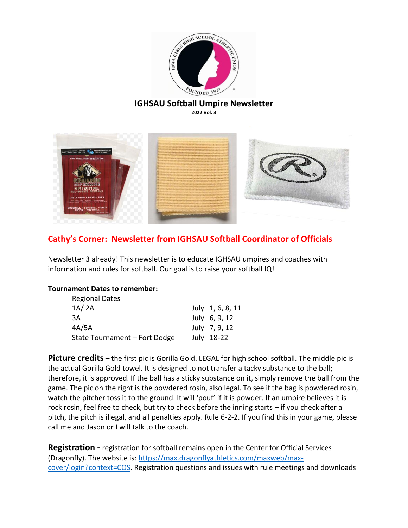

# **IGHSAU Softball Umpire Newsletter**

**2022 Vol. 3**



### **Cathy's Corner: Newsletter from IGHSAU Softball Coordinator of Officials**

Newsletter 3 already! This newsletter is to educate IGHSAU umpires and coaches with information and rules for softball. Our goal is to raise your softball IQ!

#### **Tournament Dates to remember:**

| <b>Regional Dates</b>         |                  |
|-------------------------------|------------------|
| 1A/2A                         | July 1, 6, 8, 11 |
| 3A                            | July $6, 9, 12$  |
| 4A/5A                         | July 7, 9, 12    |
| State Tournament - Fort Dodge | July 18-22       |

**Picture credits** – the first pic is Gorilla Gold. LEGAL for high school softball. The middle pic is the actual Gorilla Gold towel. It is designed to not transfer a tacky substance to the ball; therefore, it is approved. If the ball has a sticky substance on it, simply remove the ball from the game. The pic on the right is the powdered rosin, also legal. To see if the bag is powdered rosin, watch the pitcher toss it to the ground. It will 'pouf' if it is powder. If an umpire believes it is rock rosin, feel free to check, but try to check before the inning starts – if you check after a pitch, the pitch is illegal, and all penalties apply. Rule 6-2-2. If you find this in your game, please call me and Jason or I will talk to the coach.

**Registration -** registration for softball remains open in the Center for Official Services (Dragonfly). The website is: [https://max.dragonflyathletics.com/maxweb/max](https://max.dragonflyathletics.com/maxweb/max-cover/login?context=COS)[cover/login?context=COS.](https://max.dragonflyathletics.com/maxweb/max-cover/login?context=COS) Registration questions and issues with rule meetings and downloads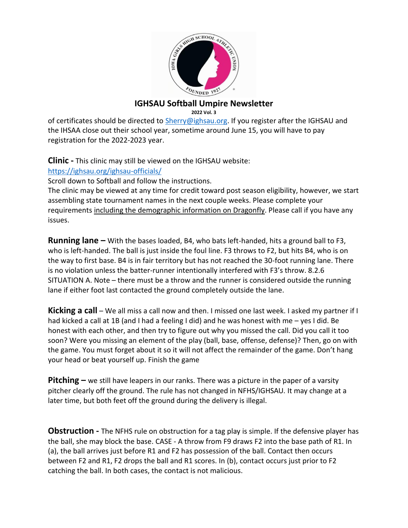

#### **IGHSAU Softball Umpire Newsletter 2022 Vol. 3**

of certificates should be directed to [Sherry@ighsau.org.](mailto:Sherry@ighsau.org) If you register after the IGHSAU and the IHSAA close out their school year, sometime around June 15, you will have to pay registration for the 2022-2023 year.

**Clinic -** This clinic may still be viewed on the IGHSAU website:

<https://ighsau.org/ighsau-officials/>

Scroll down to Softball and follow the instructions.

The clinic may be viewed at any time for credit toward post season eligibility, however, we start assembling state tournament names in the next couple weeks. Please complete your requirements including the demographic information on Dragonfly. Please call if you have any issues.

**Running lane –** With the bases loaded, B4, who bats left-handed, hits a ground ball to F3, who is left-handed. The ball is just inside the foul line. F3 throws to F2, but hits B4, who is on the way to first base. B4 is in fair territory but has not reached the 30-foot running lane. There is no violation unless the batter-runner intentionally interfered with F3's throw. 8.2.6 SITUATION A. Note – there must be a throw and the runner is considered outside the running lane if either foot last contacted the ground completely outside the lane.

**Kicking a call** – We all miss a call now and then. I missed one last week. I asked my partner if I had kicked a call at 1B (and I had a feeling I did) and he was honest with me – yes I did. Be honest with each other, and then try to figure out why you missed the call. Did you call it too soon? Were you missing an element of the play (ball, base, offense, defense)? Then, go on with the game. You must forget about it so it will not affect the remainder of the game. Don't hang your head or beat yourself up. Finish the game

**Pitching –** we still have leapers in our ranks. There was a picture in the paper of a varsity pitcher clearly off the ground. The rule has not changed in NFHS/IGHSAU. It may change at a later time, but both feet off the ground during the delivery is illegal.

**Obstruction -** The NFHS rule on obstruction for a tag play is simple. If the defensive player has the ball, she may block the base. CASE - A throw from F9 draws F2 into the base path of R1. In (a), the ball arrives just before R1 and F2 has possession of the ball. Contact then occurs between F2 and R1, F2 drops the ball and R1 scores. In (b), contact occurs just prior to F2 catching the ball. In both cases, the contact is not malicious.